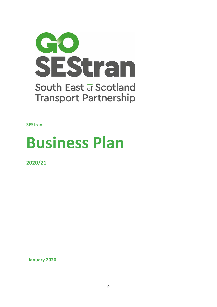

**SEStran**

# **Business Plan**

**2020/21**

**January 2020**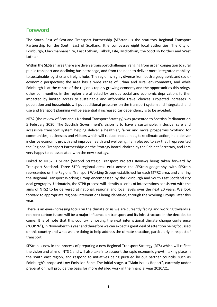# Foreword

The South East of Scotland Transport Partnership (SEStran) is the statutory Regional Transport Partnership for the South East of Scotland. It encompasses eight local authorities: The City of Edinburgh, Clackmannanshire, East Lothian, Falkirk, Fife, Midlothian, the Scottish Borders and West Lothian.

Within the SEStran area there are diverse transport challenges, ranging from urban congestion to rural public transport and declining bus patronage, and from the need to deliver more integrated mobility, to sustainable logistics and freight hubs. The region is highly diverse from both a geographic and socioeconomic perspective; the area has a wide range of urban and rural environments, and while Edinburgh is at the centre of the region's rapidly growing economy and the opportunities this brings, other communities in the region are affected by serious social and economic deprivation, further impacted by limited access to sustainable and affordable travel choices. Projected increases in population and households will put additional pressures on the transport system and integrated land use and transport planning will be essential if increased car dependency is to be avoided.

NTS2 (the review of Scotland's National Transport Strategy) was presented to Scottish Parliament on 5 February 2020. The Scottish Government's vision is to have a sustainable, inclusive, safe and accessible transport system helping deliver a healthier, fairer and more prosperous Scotland for communities, businesses and visitors which will reduce inequalities, take climate action, help deliver inclusive economic growth and improve health and wellbeing. I am pleased to say that I represented the Regional Transport Partnerships on the Strategy Board, chaired by the Cabinet Secretary, and I am very happy to be associated with the new strategy.

Linked to NTS2 is STPR2 (Second Strategic Transport Projects Review) being taken forward by Transport Scotland. Three STPR regional areas exist across the SEStran geography, with SEStran represented on the Regional Transport Working Groups established for each STPR2 area, and chairing the Regional Transport Working Group encompassed by the Edinburgh and South East Scotland city deal geography. Ultimately, the STPR process will identify a series of interventions consistent with the aims of NTS2 to be delivered at national, regional and local levels over the next 20 years. We look forward to appropriate regional interventions being identified, through the Working Groups, later this year.

There is an ever-increasing focus on the climate crisis we are currently facing and working towards a net zero carbon future will be a major influence on transport and its infrastructure in the decades to come. It is of note that this country is hosting the next international climate change conference ("COP26"), in November this year and therefore we can expect a great deal of attention being focussed on this country and what we are doing to help address the climate situation, particularly in respect of transport.

SEStran is now in the process of preparing a new Regional Transport Strategy (RTS) which will reflect the vision and aims of NTS 2 and will also take into account the rapid economic growth taking place in the south east region, and respond to initiatives being pursued by our partner councils, such as Edinburgh's proposed Low Emission Zone. The initial stage, a "Main Issues Report", currently under preparation, will provide the basis for more detailed work in the financial year 2020/21.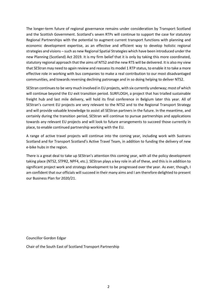The longer-term future of regional governance remains under consideration by Transport Scotland and the Scottish Government. Scotland's seven RTPs will continue to support the case for statutory Regional Partnerships with the potential to augment current transport functions with planning and economic development expertise, as an effective and efficient way to develop holistic regional strategies and visions – such as new Regional Spatial Strategies which have been introduced under the new Planning (Scotland) Act 2019. It is my firm belief that it is only by taking this more coordinated, statutory regional approach that the aims of NTS2 and the new RTS will be delivered. It is also my view that SEStran may need to again review and reassess its model 1 RTP status, to enable it to take a more effective role in working with bus companies to make a real contribution to our most disadvantaged communities, and towards reversing declining patronage and in so doing helping to deliver NTS2.

SEStran continues to be very much involved in EU projects, with six currently underway; most of which will continue beyond the EU exit transition period. SURFLOGH, a project that has trialled sustainable freight hub and last mile delivery, will hold its final conference in Belgium later this year. All of SEStran's current EU projects are very relevant to the NTS2 and to the Regional Transport Strategy and will provide valuable knowledge to assist all SEStran partners in the future. In the meantime, and certainly during the transition period, SEStran will continue to pursue partnerships and applications towards any relevant EU projects and will look to future arrangements to succeed those currently in place, to enable continued partnership working with the EU.

A range of active travel projects will continue into the coming year, including work with Sustrans Scotland and for Transport Scotland's Active Travel Team, in addition to funding the delivery of new e-bike hubs in the region.

There is a great deal to take up SEStran's attention this coming year, with all the policy development taking place (NTS2, STPR2, NPF4, etc.). SEStran plays a key role in all of these, and this is in addition to significant project work and strategy development to be progressed over the year. As ever, though, I am confident that our officials will succeed in their many aims and I am therefore delighted to present our Business Plan for 2020/21.

Councillor Gordon Edgar

Chair of the South East of Scotland Transport Partnership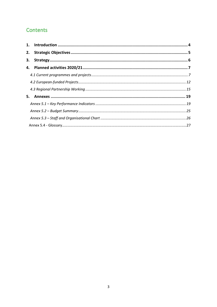# Contents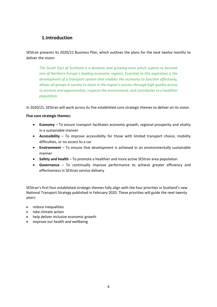## **1.Introduction**

<span id="page-4-0"></span>SEStran presents its 2020/21 Business Plan, which outlines the plans for the next twelve months to deliver the vision:

*The South East of Scotland is a dynamic and growing area which aspires to become one of Northern Europe's leading economic regions. Essential to this aspiration is the development of a transport system that enables the economy to function effectively, allows all groups in society to share in the region's success through high quality access to services and opportunities, respects the environment, and contributes to a healthier population.*

In 2020/21, SEStran will work across its five established core strategic themes to deliver on its vision.

#### **Five core strategic themes:**

- **Economy** To ensure transport facilitates economic growth, regional prosperity and vitality in a sustainable manner
- **Accessibility**  To improve accessibility for those with limited transport choice, mobility difficulties, or no access to a car
- **Environment** To ensure that development is achieved in an environmentally sustainable manner
- **Safety and health**  To promote a healthier and more active SEStran area population
- **Governance** To continually improve performance to achieve greater efficiency and effectiveness in SEStran service delivery

SEStran's first four established strategic themes fully align with the four priorities in Scotland's new National Transport Strategy published in February 2020. These priorities will guide the next twenty years:

- reduce inequalities
- take climate action
- help deliver inclusive economic growth
- improve our health and wellbeing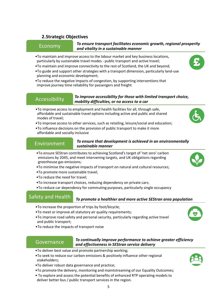### <span id="page-5-0"></span>**2.Strategic Objectives**

*To ensure transport facilitates economic growth, regional prosperity and vitality in a sustainable manner* Economy

- •To maintain and improve access to the labour market and key business locations, particularly by sustainable travel modes - public transport and active travel;
- •To maintain and improve connectivity to the rest of Scotland, the UK and beyond;
- •To guide and support other strategies with a transport dimension, particularly land-use planning and economic development;
- •To reduce the negative impacts of congestion, by supporting interventions that improve journey time reliability for passengers and freight

#### *To improve accessibility for those with limited transport choice,*  Accessibility **difficulties**, or no access to a car<br>mobility difficulties, or no access to a car

- •To improve access to employment and health facilities for all, through safe, affordable and sustainable travel options including active and public and shared modes of travel;
- •To improve access to other services, such as retailing, leisure/social and education;
- •To influence decisions on the provision of public transport to make it more affordable and socially inclusive

#### *To ensure that development is achieved in an environmentally sustainable manner* Environment

- •To ensure SEStran contributes to achieving Scotland's target of 'net zero' carbon emissions by 2045, and meet intervening targets, and UK obligations regarding greenhouse gas emissions;
- •To minimise the negative impacts of transport on natural and cultural resources;
- •To promote more sustainable travel;
- •To reduce the need for travel;
- •To increase transport choices, reducing dependency on private cars;
- •To reduce car dependency for commuting purposes, particularly single occupancy

# cars<br>cars de la propieta<br>cars de la propieta

# Safety and Health <sub>To promote a healthier and more active SEStran area population</sub>

- •To increase the proportion of trips by foot/bicycle;
- •To meet or improve all statutory air quality requirements;
- •To improve road safety and personal security, particularly regarding active travel and public transport;
- •To reduce the impacts of transport noise

#### *To continually improve performance to achieve greater efficiency and effectiveness in SEStran service delivery* Governance

- •To deliver best value and promote partnership working;
- •To seek to reduce our carbon emissions & positively influence other regional stakeholders;
- •To deliver robust data governance and practice;
- •To promote the delivery, monitoring and maintstreaming of our Equality Outcomes;
- To explore and assess the potential benefits of enhanced RTP operating models to deliver better bus / public transport services in the region.









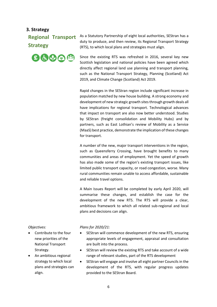#### <span id="page-6-0"></span>**3. Strategy**

**Regional Transport Strategy** 



As a Statutory Partnership of eight local authorities, SEStran has a duty to produce, and then review, its Regional Transport Strategy (RTS), to which local plans and strategies must align.

Since the existing RTS was refreshed in 2016, several key new Scottish legislation and national policies have been agreed which directly affect regional land use planning and transport planning, such as the National Transport Strategy, Planning (Scotland) Act 2019, and Climate Change (Scotland) Act 2019.

Rapid changes in the SEStran region include significant increase in population matched by new house building. A strong economy and development of new strategic growth sites through growth deals all have implications for regional transport. Technological advances that impact on transport are also now better understood. Studies by SEStran (freight consolidation and Mobility Hubs) and by partners, such as East Lothian's review of Mobility as a Service (MaaS) best practice, demonstrate the implication of these changes for transport.

A number of the new, major transport interventions in the region, such as Queensferry Crossing, have brought benefits to many communities and areas of employment. Yet the speed of growth has also made some of the region's existing transport issues, like limited public transport capacity, or road congestion, worse. Many rural communities remain unable to access affordable, sustainable and reliable travel options.

A Main Issues Report will be completed by early April 2020, will summarise these changes, and establish the case for the development of the new RTS. The RTS will provide a clear, ambitious framework to which all related sub-regional and local plans and decisions can align.

*Objectives:*

- Contribute to the four new priorities of the National Transport Strategy.
- An ambitious regional strategy to which local plans and strategies can align.

- SEStran will commence development of the new RTS, ensuring appropriate levels of engagement, appraisal and consultation are built into the process.
- SEStran will review the existing RTS and take account of a wide range of relevant studies, part of the RTS development
- SEStran will engage and involve all eight partner Councils in the development of the RTS, with regular progress updates provided to the SEStran Board.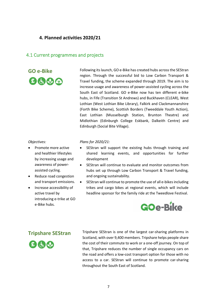### <span id="page-7-0"></span>**4. Planned activities 2020/21**

#### <span id="page-7-1"></span>4.1 Current programmes and projects



**GO e-Bike** Following its launch, GO e-Bike has created hubs across the SEStran region. Through the successful bid to Low Carbon Transport & Travel funding, the scheme expanded through 2019. The aim is to increase usage and awareness of power-assisted cycling across the South East of Scotland. GO e-Bike now has ten different e-bike hubs, in Fife (Transition St Andrews) and Buckhaven (CLEAR), West Lothian (West Lothian Bike Library), Falkirk and Clackmannanshire (Forth Bike Scheme), Scottish Borders (Tweeddale Youth Action), East Lothian (Musselburgh Station, Brunton Theatre) and Midlothian (Edinburgh College Eskbank, Dalkeith Centre) and Edinburgh (Social Bite Village).

#### *Objectives:*

- Promote more active and healthier lifestyles by increasing usage and awareness of powerassisted cycling.
- Reduce road congestion and transport emissions.
- Increase accessibility of active travel by introducing e-trike at GO e-Bike hubs.

#### *Plans for 2020/21:*

- SEStran will support the existing hubs through training and shared learning events, and opportunities for further development
- SEStran will continue to evaluate and monitor outcomes from hubs set up through Low Carbon Transport & Travel funding, and ongoing sustainability.
- SEStran will continue to promote the use of all e-bikes including trikes and cargo bikes at regional events, which will include headline sponsor for the family ride at the Tweedlove Festival.





**Tripshare SEStran** Tripshare SEStran is one of the largest car-sharing platforms in Scotland, with over 9,400 members. Tripshare helps people share the cost of their commute to work or a one-off journey. On top of that, Tripshare reduces the number of single occupancy cars on the road and offers a low-cost transport option for those with no access to a car. SEStran will continue to promote car-sharing throughout the South East of Scotland.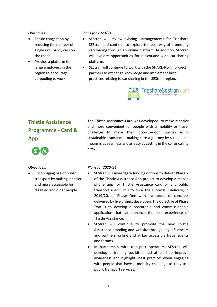- Tackle congestion by reducing the number of single occupancy cars on the roads
- Provide a platform for large employers in the region to encourage carpooling to work

#### *Plans for 2020/21:*

- SEStran will review existing arrangements for Tripshare SEStran and continue to explore the best way of promoting car-sharing through an online platform. In addition, SEStran will explore opportunities for a Scotland-wide car-sharing platform.
- SEStran will continue to work with the SHARE-North project partners to exchange knowledge and implement best practices relating to car sharing in the SEStran region.



# **Thistle Assistance Programme - Card & App**



The Thistle Assistance Card was developed to make it easier and more convenient for people with a mobility or travel challenge to make their door-to-door journey using sustainable transport – making sure a journey by sustainable means is as seamless and as easy as getting in the car or calling a taxi.

#### *Objectives:*

• Encouraging use of public transport by making it easier and more accessible for disabled and older people.

- SEStran will investigate funding options to deliver Phase 2 of the Thistle Assistance App project to develop a mobile phone app for Thistle Assistance card or any public transport users. This follows- the successful delivery, in 2019/20, of Phase One with five proof of concepts delivered by five project developers The objective of Phase Two is to develop a procurable and commissionable application that can enhance the user experience of Thistle Assistance.
- SEStran will continue to promote the new Thistle Assistance branding and website through key influencers and partners, online and at key accessible travel events and forums.
- In partnership with transport operators, SEStran will develop a training toolkit aimed at staff to improve awareness and highlight 'best practice' when engaging with people that have a mobility challenge as they use public transport services.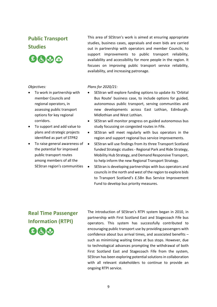# **Public Transport Studies**



This area of SEStran's work is aimed at ensuring appropriate studies, business cases, appraisals and even bids are carried out in partnership with operators and member Councils, to support improvements to public transport reliability, availability and accessibility for more people in the region. It focuses on improving public transport service reliability, availability, and increasing patronage.

#### *Objectives:*

- To work in partnership with member Councils and regional operators, in assessing public transport options for key regional corridors.
- To support and add value to plans and strategic projects identified as part of STPR2
- To raise general awareness of the potential for improved public transport routes among members of all the SEStran region's communities

#### *Plans for 2020/21:*

- SEStran will explore funding options to update its 'Orbital Bus Route' business case, to include options for guided, autonomous public transport, serving communities and new developments across East Lothian, Edinburgh. Midlothian and West Lothian.
- SEStran will monitor progress on guided autonomous bus study focussing on congested routes in Fife.
- SEStran will meet regularly with bus operators in the region and support regional bus service improvements.
- SEStran will use findings from its three Transport Scotland funded Strategic studies - Regional Park and Ride Strategy, Mobility Hub Strategy, and Demand Responsive Transport, to help inform the new Regional Transport Strategy.
- SEStran is developing partnerships with bus operators and councils in the north and west of the region to explore bids to Transport Scotland's £.5Bn Bus Service Improvement Fund to develop bus priority measures.

# **Real Time Passenger Information (RTPI)**



The introduction of SEStran's RTPI system began in 2010, in partnership with First Scotland East and Stagecoach Fife bus operators. This system has successfully contributed to encouraging public transport use by providing passengers with confidence about bus arrival times, and associated benefits – such as minimising waiting times at bus stops. However, due to technological advances prompting the withdrawal of both First Scotland East and Stagecoach Fife from the system, SEStran has been exploring potential solutions in collaboration with all relevant stakeholders to continue to provide an ongoing RTPI service.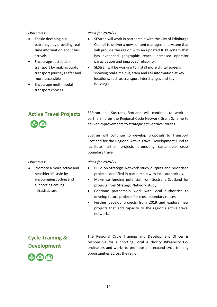- Tackle declining bus patronage by providing realtime information about bus arrivals
- Encourage sustainable transport by making public transport journeys safer and more accessible
- Encourage multi-modal transport choices

#### *Plans for 2020/21:*

- SEStran will work in partnership with the City of Edinburgh Council to deliver a new content management system that will provide the region with an updated RTPI system that has expanded geographic reach, increased operator participation and improved reliability.
- SEStran will be working to install more digital screens showing real-time bus, tram and rail information at key locations, such as transport interchanges and key buildings.

Active Travel Projects SEStran and Sustrans Scotland will continue to work in partnership on the Regional Cycle Network Grant Scheme to deliver improvements to strategic active travel routes.

> SEStran will continue to develop proposals to Transport Scotland for the Regional Active Travel Development Fund to facilitate further projects promoting sustainable cross boundary travel.

#### *Objectives:*

• Promote a more active and healthier lifestyle by encouraging cycling and supporting cycling infrastructure

#### *Plans for 2020/21:*

- Build on Strategic Network study outputs and prioritised projects identified in partnership with local authorities.
- Maximise funding potential from Sustrans Scotland for projects from Strategic Network study.
- Continue partnership work with local authorities to develop future projects for cross-boundary routes.
- Further develop projects from 2019 and explore new projects that add capacity to the region's active travel network.

# **Cycle Training & Development**

The Regional Cycle Training and Development Officer is responsible for supporting Local Authority Bikeability Coordinators and works to promote and expand cycle training opportunities across the region.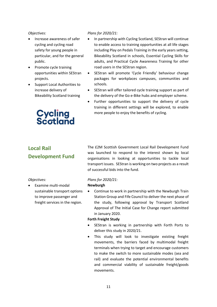- Increase awareness of safer cycling and cycling road safety for young people in particular, and for the general public.
- Promote cycle training opportunities within SEStran projects.
- Support Local Authorities to increase delivery of Bikeability Scotland training

# **Cycling<br>Scotland**

#### *Plans for 2020/21:*

- In partnership with Cycling Scotland, SEStran will continue to enable access to training opportunities at all life stages including Play on Pedals Training in the early years setting, Bikeability Scotland in schools, Essential Cycling Skills for adults, and Practical Cycle Awareness Training for other road users in the SEStran region.
- SEStran will promote 'Cycle Friendly' behaviour change packages for workplaces campuses, communities and schools.
- SEStran will offer tailored cycle training support as part of the delivery of the Go e-Bike hubs and employer scheme.
- Further opportunities to support the delivery of cycle training in different settings will be explored, to enable more people to enjoy the benefits of cycling.

# **Local Rail Development Fund**

*Objectives:*

• Examine multi-modal sustainable transport options to improve passenger and freight services in the region.

The £2M Scottish Government Local Rail Development Fund was launched to respond to the interest shown by local organisations in looking at opportunities to tackle local transport issues. SEStran is working on two projects as a result of successful bids into the fund.

#### *Plans for 2020/21:*

#### **Newburgh**

• Continue to work in partnership with the Newburgh Train Station Group and Fife Council to deliver the next phase of the study, following approval by Transport Scotland Approval of The Initial Case for Change report submitted in January 2020.

#### **Forth Freight Study**

- SEStran is working in partnership with Forth Ports to deliver this study in 2020/21.
- This study will look to investigate existing freight movements, the barriers faced by multimodal freight terminals when trying to target and encourage customers to make the switch to more sustainable modes (sea and rail) and evaluate the potential environmental benefits and commercial viability of sustainable freight/goods movements.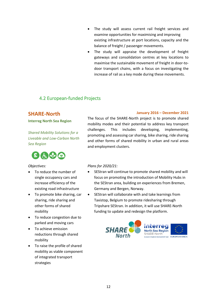- The study will assess current rail freight services and examine opportunities for maximising and improving existing infrastructure at port locations, capacity and the balance of freight / passenger movements.
- The study will appraise the development of freight gateways and consolidation centres at key locations to maximise the sustainable movement of freight in door-todoor transport chains, with a focus on investigating the increase of rail as a key mode during these movements.

## <span id="page-12-0"></span>4.2 European-funded Projects

## **SHARE-North**

**Interreg North Sea Region** 

*Shared Mobility Solutions for a Liveable and Low-Carbon North Sea Region*



#### *Objectives:*

- To reduce the number of single occupancy cars and increase efficiency of the existing road infrastructure
- To promote bike sharing, car sharing, ride sharing and other forms of shared mobility
- To reduce congestion due to parked and moving cars
- To achieve emission reductions through shared mobility
- To raise the profile of shared mobility as viable component of integrated transport strategies

#### **January 2016 – December 2021**

The focus of the SHARE-North project is to promote shared mobility modes and their potential to address key transport challenges. This includes developing, implementing, promoting and assessing car sharing, bike sharing, ride sharing and other forms of shared mobility in urban and rural areas and employment clusters.

- SEStran will continue to promote shared mobility and will focus on promoting the introduction of Mobility Hubs in the SEStran area, building on experiences from Bremen, Germany and Bergen, Norway.
- SEStran will collaborate with and take learnings from Taxistop, Belgium to promote ridesharing through Tripshare SEStran. In addition, it will use SHARE-North funding to update and redesign the platform.

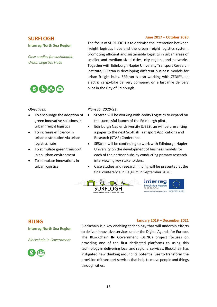## **SURFLOGH**

#### **June 2017 – October 2020**

#### **Interreg North Sea Region**

*Case studies for sustainable Urban Logistics Hubs*

 $E(1)$ 

The focus of SURFLOGH is to optimise the interaction between freight logistics hubs and the urban freight logistics system, promoting efficient and sustainable logistics in urban areas of smaller and medium-sized cities, city regions and networks. Together with Edinburgh Napier University Transport Research Institute, SEStran is developing different business models for urban freight hubs. SEStran is also working with ZEDIFY, an electric cargo-bike delivery company, on a last mile delivery pilot in the City of Edinburgh.

#### *Objectives:*

- To encourage the adoption of green innovative solutions in urban freight logistics
- To increase efficiency in urban distribution via urban logistics hubs
- To stimulate green transport in an urban environment
- To stimulate innovations in urban logistics

#### *Plans for 2020/21:*

- SEStran will be working with Zedify Logistics to expand on the successful launch of the Edinburgh pilot.
- Edinburgh Napier University & SEStran will be presenting a paper to the next Scottish Transport Applications and Research (STAR) Conference.
- SEStran will be continuing to work with Edinburgh Napier University on the development of business models for each of the partner hubs by conducting primary research interviewing key stakeholders.
- Case studies and research finding will be presented at the final conference in Belgium in September 2020.



#### **BLING**

**Interreg North Sea Region**

#### *Blockchain in Government*



Blockchain is a key enabling technology that will underpin efforts to deliver innovative services under the Digital Agenda for Europe. The **BL**ockchain **IN G**overnment (BLING) project focuses on providing one of the first dedicated platforms to using this technology in delivering local and regional services. Blockchain has instigated new thinking around its potential use to transform the provision of transport services that help to move people and things through cities.

**January 2019 – December 2021**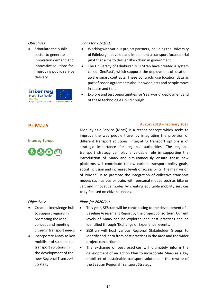• Stimulate the public sector to generate innovation demand and innovative solutions for improving public service delivery



#### *Plans for 2020/21:*

- Working with various project partners, including the University of Edinburgh, develop and implement a transport focused trial pilot that aims to deliver Blockchain in government.
- The University of Edinburgh & SEStran have created a system called 'GeoPact', which supports the deployment of locationaware smart contracts. These contracts use location data as part of coded agreements about how objects and people move in space and time.
- Explore and test opportunities for 'real world' deployment and of these technologies in Edinburgh.

# **PriMaaS**

**Interreg Europe**



**August 2019 – February 2023**

Mobility-as-a-Service (MaaS) is a recent concept which seeks to improve the way people travel by integrating the provision of different transport solutions. Integrating transport options is of strategic importance for regional authorities. The regional transport strategy can play a valuable role in supporting the introduction of MaaS and simultaneously ensure these new platforms will contribute to low carbon transport policy goals, social inclusion and increased levels of accessibility. The main vision of PriMaaS is to promote the integration of collective transport modes such as bus or train, with personal modes such as bike or car, and innovative modes by creating equitable mobility services truly focused on citizens' needs.

*Objectives:*

- Create a knowledge hub to support regions in promoting the MaaS concept and meeting citizens' transport needs
- Incorporate MaaS as key mobiliser of sustainable transport solutions in the development of the new Regional Transport Strategy

- This year, SEStran will be contributing to the development of a Baseline Assessment Report by the project consortium. Current levels of MaaS can be explored and best practices can be identified through 'Exchange of Experience' events.
- SEStran will host various Regional Stakeholder Groups to identify and learn from best practices in the area and the wider project consortium.
- The exchange of best practices will ultimately inform the development of an Action Plan to incorporate MaaS as a key mobiliser of sustainable transport solutions in the rewrite of the SEStran Regional Transport Strategy.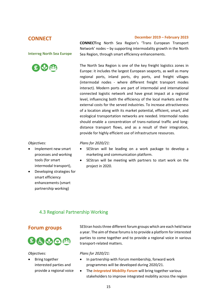### **CONNECT**

#### **December 2019 – February 2023**

**Interreg North Sea Europe**



#### **CONNECT**ing North Sea Region's 'Trans European Transport Network' nodes – by supporting intermodality growth in the North Sea Region, through smart efficiency enhancements.

The North Sea Region is one of the key freight logistics zones in Europe: it includes the largest European seaports, as well as many regional ports, inland ports, dry ports, and freight villages (intermodal nodes - where different freight transport modes interact). Modern ports are part of intermodal and international connected logistic network and have great impact at a regional level, influencing both the efficiency of the local markets and the external costs for the served industries. To increase attractiveness of a location along with its market potential, efficient, smart, and ecological transportation networks are needed. Intermodal nodes should enable a concentration of trans-national traffic and longdistance transport flows, and as a result of their integration, provide for highly efficient use of infrastructure resources.

#### *Objectives:*

- Implement new smart processes and working tools (for smart intermodal transport),
- Developing strategies for smart efficiency enhancements (smart partnership working)

#### *Plans for 2020/21:*

- SEStran will be leading on a work package to develop a marketing and communication platform.
- SEStran will be meeting with partners to start work on the project in 2020.

## <span id="page-15-0"></span>4.3 Regional Partnership Working



#### *Objectives:*

• Bring together interested parties and provide a regional voice

**Forum groups** SEStran hosts three different forum groups which are each held twice a year. The aim of these forums is to provide a platform for interested parties to come together and to provide a regional voice in various transport-related matters.

- In partnership with Forum membership, forward work programmes will be developed during 2020/21.
- The *Integrated Mobility Forum* will bring together various stakeholders to improve integrated mobility across the region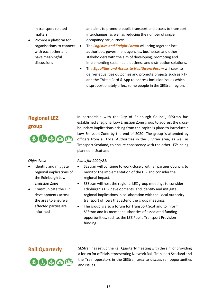in transport-related matters

• Provide a platform for organisations to connect with each other and have meaningful discussions

and aims to promote public transport and access to transport interchanges, as well as reducing the number of single occupancy car journeys.

- The *Logistics and Freight Forum* will bring together local authorities, government agencies, businesses and other stakeholders with the aim of developing, promoting and implementing sustainable business and distribution solutions.
- The *Equalities and Access to Healthcare Forum* will seek to deliver equalities outcomes and promote projects such as RTPI and the Thistle Card & App to address inclusion issues which disproportionately affect some people in the SEStran region.

# **Regional LEZ group**

 $E$  to  $\odot$   $E$ 

#### *Objectives:*

- Identify and mitigate regional implications of the Edinburgh Low Emission Zone
- Communicate the LEZ developments across the area to ensure all affected parties are informed

In partnership with the City of Edinburgh Council, SEStran has established a regional Low Emission Zone group to address the crossboundary implications arising from the capital's plans to introduce a Low Emission Zone by the end of 2020. The group is attended by officers from all Local Authorities in the SEStran area, as well as Transport Scotland, to ensure consistency with the other LEZs being planned in Scotland.

#### *Plans for 2020/21:*

- SEStran will continue to work closely with all partner Councils to monitor the implementation of the LEZ and consider the regional impact.
- SEStran will host the regional LEZ group meetings to consider Edinburgh's LEZ developments, and identify and mitigate regional implications in collaboration with the Local Authority transport officers that attend the group meetings.
- The group is also a forum for Transport Scotland to inform SEStran and its member authorities of associated funding opportunities, such as the LEZ Public Transport Provision funding.

# 法的团组

**Rail Quarterly** SEStran has set up the Rail Quarterly meeting with the aim of providing a forum for officials representing Network Rail, Transport Scotland and the Train operators in the SEStran area to discuss rail opportunities and issues.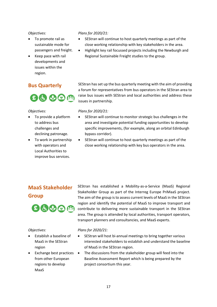- To promote rail as sustainable mode for passengers and freight.
- Keep pace with rail developments and issues within the region.



#### *Objectives:*

- To provide a platform to address bus challenges and declining patronage.
- To work in partnership with operators and Local Authorities to improve bus services.

#### *Plans for 2020/21:*

- SEStran will continue to host quarterly meetings as part of the close working relationship with key stakeholders in the area.
- Highlight key rail focussed projects including the Newburgh and Regional Sustainable Freight studies to the group.

**Bus Quarterly** SEStran has set up the bus quarterly meeting with the aim of providing a forum for representatives from bus operators in the SEStran area to raise bus issues with SEStran and local authorities and address these issues in partnership.

#### *Plans for 2020/21:*

- SEStran will continue to monitor strategic bus challenges in the area and investigate potential funding opportunities to develop specific improvements, (for example, along an orbital Edinburgh bypass corridor).
- SEStran will continue to host quarterly meetings as part of the close working relationship with key bus operators in the area.

# **MaaS Stakeholder Group**



#### *Objectives:*

- Establish a baseline of MaaS in the SEStran region
- Exchange best practices from other European regions to develop MaaS

SEStran has established a Mobility-as-a-Service (MaaS) Regional Stakeholder Group as part of the Interreg Europe PriMaaS project. The aim of the group is to assess current levels of MaaS in the SEStran region and identify the potential of MaaS to improve transport and contribute to delivering more sustainable transport in the SEStran area. The group is attended by local authorities, transport operators, transport planners and consultancies, and MaaS experts.

- SEStran will host bi-annual meetings to bring together various interested stakeholders to establish and understand the baseline of MaaS in the SEStran region.
- The discussions from the stakeholder group will feed into the Baseline Assessment Report which is being prepared by the project consortium this year.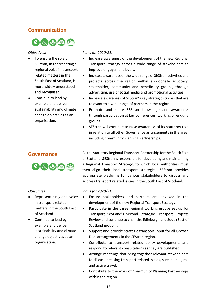## **Communication**

# $B$ & $\bigcirc$  $B$

#### *Objectives:*

- To ensure the role of SEStran, in representing a regional voice in transport related matters in the South East of Scotland, is more widely understood and recognised.
- Continue to lead by example and deliver sustainability and climate change objectives as an organisation.



*Objectives:*

- Represent a regional voice in transport related matters in the South East of Scotland
- Continue to lead by example and deliver sustainability and climate change objectives as an organisation.

#### *Plans for 2020/21:*

- Increase awareness of the development of the new Regional Transport Strategy across a wide range of stakeholders to improve engagement levels.
- Increase awareness of the wide range of SEStran activities and projects across the region within appropriate advocacy, stakeholder, community and beneficiary groups, through advertising, use of social media and promotional activities.
- Increase awareness of SEStran's key strategic studies that are relevant to a wide range of partners in the region.
- Promote and share SEStran knowledge and awareness through participation at key conferences, working or enquiry groups.
- SEStran will continue to raise awareness of its statutory role in relation to all other Governance arrangements in the area, including Community Planning Partnerships.

**Governance** As the statutory Regional Transport Partnership for the South East of Scotland, SEStran is responsible for developing and maintaining a Regional Transport Strategy, to which local authorities must then align their local transport strategies. SEStran provides appropriate platforms for various stakeholders to discuss and address transport related issues in the South East of Scotland.

- Ensure stakeholders and partners are engaged in the development of the new Regional Transport Strategy.
- Participate in the three regional working groups set up for Transport Scotland's Second Strategic Transport Projects Review and continue to chair the Edinburgh and South East of Scotland grouping.
- Support and provide strategic transport input for all Growth Deal arrangements in the SEStran region.
- Contribute to transport related policy developments and respond to relevant consultations as they are published.
- Arrange meetings that bring together relevant stakeholders to discuss pressing transport related issues, such as bus, rail and active travel.
- Contribute to the work of Community Planning Partnerships within the region.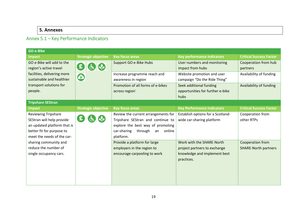## **5. Annexes**

# Annex 5.1 – Key Performance Indicators

<span id="page-19-1"></span><span id="page-19-0"></span>

| <b>GO e-Bike</b>            |                              |                                        |                                   |                                |
|-----------------------------|------------------------------|----------------------------------------|-----------------------------------|--------------------------------|
| <b>Impact</b>               | <b>Strategic objective</b>   | <b>Key focus areas</b>                 | <b>Key performance indicators</b> | <b>Critical Success Factor</b> |
| GO e-Bike will add to the   |                              | Support GO e-Bike Hubs                 | User numbers and monitoring       | Cooperation from hub           |
| region's active travel      | $\mathbf{E}$<br>$\mathbf{G}$ |                                        | impact from hubs                  | partners                       |
| facilities, delivering more |                              | Increase programme reach and           | Website promotion and user        | Availability of funding        |
| sustainable and healthier   | $\bigcirc$                   | awareness in region                    | campaign "Do the Ride Thing"      |                                |
| transport solutions for     |                              | Promotion of all forms of e-bikes      | Seek additional funding           | Availability of funding        |
| people.                     |                              | across region                          | opportunities for further e-bike  |                                |
|                             |                              |                                        | hubs                              |                                |
| <b>Tripshare SEStran</b>    |                              |                                        |                                   |                                |
| <b>Impact</b>               | <b>Strategic objective</b>   | <b>Key focus areas</b>                 | <b>Key Performance Indicators</b> | <b>Critical Success Factor</b> |
| <b>Reviewing Tripshare</b>  |                              | Review the current arrangements for    | Establish options for a Scotland- | Cooperation from               |
| SEStran will help provide   | £                            | Tripshare SEStran and continue to      | wide car-sharing platform         | other RTPs                     |
| an updated platform that is |                              | explore the best way of promoting      |                                   |                                |
| better fit for purpose to   |                              | through<br>car-sharing<br>online<br>an |                                   |                                |
| meet the needs of the car-  |                              | platform.                              |                                   |                                |
| sharing community and       |                              | Provide a platform for large           | Work with the SHARE-North         | Cooperation from               |
| reduce the number of        |                              | employers in the region to             | project partners to exchange      | <b>SHARE-North partners</b>    |
| single occupancy cars.      |                              | encourage carpooling to work           | knowledge and implement best      |                                |
|                             |                              |                                        | practices.                        |                                |
|                             |                              |                                        |                                   |                                |
|                             |                              |                                        |                                   |                                |
|                             |                              |                                        |                                   |                                |
|                             |                              |                                        |                                   |                                |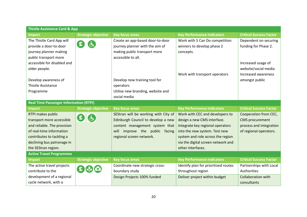| <b>Thistle Assistance Card &amp; App</b>      |                                        |                                      |                                      |                                |  |  |
|-----------------------------------------------|----------------------------------------|--------------------------------------|--------------------------------------|--------------------------------|--|--|
| <b>Impact</b>                                 | <b>Strategic objective</b>             | <b>Key focus areas</b>               | <b>Key Performance Indicators</b>    | <b>Critical Success Factor</b> |  |  |
| The Thistle Card App will                     |                                        | Create an app-based door-to-door     | Work with 5 Can Do competition       | Dependent on securing          |  |  |
| provide a door-to-door                        | £                                      | journey planner with the aim of      | winners to develop phase 2           | funding for Phase 2.           |  |  |
| journey planner making                        |                                        | making public transport more         | concepts.                            |                                |  |  |
| public transport more                         |                                        | accessible to all.                   |                                      |                                |  |  |
| accessible for disabled and                   |                                        |                                      |                                      | Increased usage of             |  |  |
| older people.                                 |                                        |                                      |                                      | website/social media           |  |  |
|                                               |                                        |                                      | Work with transport operators        | Increased awareness            |  |  |
| Develop awareness of                          |                                        | Develop new training tool for        |                                      | amongst public                 |  |  |
| <b>Thistle Assistance</b>                     |                                        | operators                            |                                      |                                |  |  |
| Programme                                     |                                        | Utilise new branding, website and    |                                      |                                |  |  |
|                                               |                                        | social media                         |                                      |                                |  |  |
| <b>Real Time Passenger Information (RTPI)</b> |                                        |                                      |                                      |                                |  |  |
|                                               |                                        |                                      |                                      |                                |  |  |
| <b>Impact</b>                                 | <b>Strategic objective</b>             | <b>Key focus areas</b>               | <b>Key Performance Indicators</b>    | <b>Critical Success Factor</b> |  |  |
| RTPI makes public                             |                                        | SEStran will be working with City of | Work with CEC and developers to      | Cooperation from CEC,          |  |  |
| transport more accessible                     | 日白                                     | Edinburgh Council to develop a new   | design a new CMS interface.          | <b>CMS</b> procurement         |  |  |
| and reliable. The provision                   |                                        | content management system that       | Integrate key regional operators     | process and integration        |  |  |
| of real-time information                      |                                        | improve the public facing<br>will    | into the new system. Test new        | of regional operators.         |  |  |
| contributes to tackling a                     |                                        | regional screen network.             | system and role across the region    |                                |  |  |
| declining bus patronage in                    |                                        |                                      | via the digital screen network and   |                                |  |  |
| the SEStran region.                           |                                        |                                      | other interfaces.                    |                                |  |  |
| <b>Active Travel Programmes</b>               |                                        |                                      |                                      |                                |  |  |
| <b>Impact</b>                                 | <b>Strategic objective</b>             | <b>Key focus areas</b>               | <b>Key Performance Indicators</b>    | <b>Critical Success Factor</b> |  |  |
| The active travel projects                    |                                        | Coordinate new strategic cross-      | Identify plan for prioritised routes | Partnerships with Local        |  |  |
| contribute to the                             | $\mathbf{E}$ $\mathbf{v}$ $\mathbf{c}$ | boundary study                       | throughout region                    | Authorities                    |  |  |
| development of a regional                     |                                        | Design Projects 100% funded          | Deliver project within budget        | <b>Collaboration with</b>      |  |  |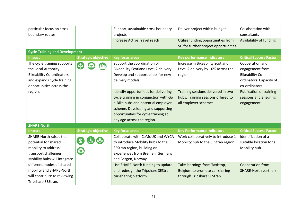| particular focus on cross-            |                            | Support sustainable cross boundary                          | Deliver project within budget        | Collaboration with             |
|---------------------------------------|----------------------------|-------------------------------------------------------------|--------------------------------------|--------------------------------|
| boundary routes                       |                            | projects                                                    |                                      | consultants                    |
|                                       |                            | Increase Active Travel reach                                | Utilise funding opportunities from   | Availability of funding        |
|                                       |                            |                                                             | SG for further project opportunities |                                |
| <b>Cycle Training and Development</b> |                            |                                                             |                                      |                                |
| <b>Impact</b>                         | <b>Strategic objective</b> | <b>Key focus areas</b>                                      | <b>Key performance indicators</b>    | <b>Critical Success Factor</b> |
| The cycle training supports           |                            | Support the coordination of                                 | Increase in Bikeability Scotland     | Cooperation and                |
| the Local Authority                   |                            | Bikeability Scotland Level 2 delivery.                      | Level 2 delivery by 10% across the   | engagement from                |
| <b>Bikeability Co-ordinators</b>      |                            | Develop and support pilots for new                          | region.                              | <b>Bikeability Co-</b>         |
| and expands cycle training            |                            | delivery models.                                            |                                      | ordinators. Capacity of        |
| opportunities across the              |                            |                                                             |                                      | co-ordinators.                 |
| region.                               |                            | Identify opportunities for delivering                       | Training sessions delivered in two   | <b>Publication of training</b> |
|                                       |                            | cycle training in conjunction with Go                       | hubs. Training sessions offered to   | sessions and ensuring          |
|                                       |                            | e-Bike hubs and potential employer<br>all employer schemes. |                                      | engagement.                    |
|                                       |                            | scheme. Developing and supporting                           |                                      |                                |
|                                       |                            | opportunities for cycle training at                         |                                      |                                |
|                                       |                            | any age across the region.                                  |                                      |                                |
| <b>SHARE-North</b>                    |                            |                                                             |                                      |                                |
| <b>Impact</b>                         | <b>Strategic objective</b> | <b>Key focus areas</b>                                      | <b>Key Performance Indicators</b>    | <b>Critical Success Factor</b> |
| <b>SHARE-North raises the</b>         |                            | Collaborate with CoMoUK and WYCA                            | Work collaboratively to introduce 1  | Identification of a            |
| potential for shared                  |                            | to introduce Mobility hubs to the                           | Mobility hub to the SEStran region   | suitable location for a        |
| mobility to address                   |                            | SEStran region, building on                                 |                                      | Mobility hub.                  |
| $\bullet$<br>transport challenges.    |                            | experiences from Bremen, Germany                            |                                      |                                |
| Mobility hubs will integrate          |                            | and Bergen, Norway.                                         |                                      |                                |
| different modes of shared             |                            | Use SHARE-North funding to update                           | Take learnings from Taxistop,        | Cooperation from               |
| mobility and SHARE-North              |                            | and redesign the Tripshare SEStran                          | Belgium to promote car-sharing       | <b>SHARE-North partners</b>    |
| will contribute to reviewing          |                            | car-sharing platform                                        | through Tripshare SEStran.           |                                |
| Tripshare SEStran.                    |                            |                                                             |                                      |                                |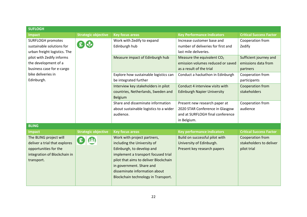| <b>SUFLOGH</b>                                                      |                            |                                        |                                        |                                |
|---------------------------------------------------------------------|----------------------------|----------------------------------------|----------------------------------------|--------------------------------|
| Impact                                                              | <b>Strategic objective</b> | <b>Key focus areas</b>                 | <b>Key Performance Indicators</b>      | <b>Critical Success Factor</b> |
| <b>SURFLOGH promotes</b><br>$E$ $\psi$<br>sustainable solutions for |                            | Work with Zedify to expand             | Increase customer base and             | Cooperation from               |
|                                                                     |                            | Edinburgh hub                          | number of deliveries for first and     | Zedify                         |
| urban freight logistics. The                                        |                            |                                        | last mile deliveries.                  |                                |
| pilot with Zedify informs                                           |                            | Measure impact of Edinburgh hub        | Measure the equivalent CO <sub>2</sub> | Sufficient journey and         |
| the development of a                                                |                            |                                        | emission volumes reduced or saved      | emissions data from            |
| business case for e-cargo                                           |                            |                                        | as a result of the trial               | partners                       |
| bike deliveries in                                                  |                            | Explore how sustainable logistics can  | Conduct a hackathon in Edinburgh       | Cooperation from               |
| Edinburgh.                                                          |                            | be integrated further                  |                                        | participants                   |
|                                                                     |                            | Interview key stakeholders in pilot    | Conduct 4 interview visits with        | Cooperation from               |
|                                                                     |                            | countries, Netherlands, Sweden and     | <b>Edinburgh Napier University</b>     | stakeholders                   |
|                                                                     |                            | <b>Belgium</b>                         |                                        |                                |
|                                                                     |                            | Share and disseminate information      | Present new research paper at          | Cooperation from               |
|                                                                     |                            | about sustainable logistics to a wider | 2020 STAR Conference in Glasgow        | audience                       |
|                                                                     |                            | audience.                              | and at SURFLOGH final conference       |                                |
|                                                                     |                            |                                        | in Belgium.                            |                                |
| <b>BLING</b>                                                        |                            |                                        |                                        |                                |
| <b>Impact</b>                                                       | <b>Strategic objective</b> | <b>Key focus areas</b>                 | <b>Key performance indicators</b>      | <b>Critical Success Factor</b> |
| The BLING project will                                              | £)                         | Work with project partners,            | Build on successful pilot with         | Cooperation from               |
| deliver a trial that explores                                       |                            | including the University of            | University of Edinburgh.               | stakeholders to deliver        |
| opportunities for the                                               |                            | Edinburgh, to develop and              | Present key research papers            | pilot trial                    |
| integration of Blockchain in                                        |                            | implement a transport focused trial    |                                        |                                |
| transport.                                                          |                            | pilot that aims to deliver Blockchain  |                                        |                                |
|                                                                     |                            | in government. Share and               |                                        |                                |
|                                                                     |                            | disseminate information about          |                                        |                                |
|                                                                     |                            | Blockchain technology in Transport.    |                                        |                                |
|                                                                     |                            |                                        |                                        |                                |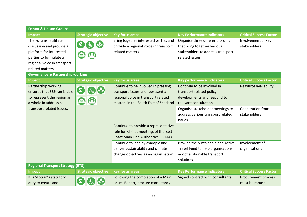| <b>Forum &amp; Liaison Groups</b>                                                                                                                         |                            |                                                                                                                                                         |                                                                                                                        |                                       |
|-----------------------------------------------------------------------------------------------------------------------------------------------------------|----------------------------|---------------------------------------------------------------------------------------------------------------------------------------------------------|------------------------------------------------------------------------------------------------------------------------|---------------------------------------|
| <b>Impact</b>                                                                                                                                             | <b>Strategic objective</b> | <b>Key focus areas</b>                                                                                                                                  | <b>Key Performance Indicators</b>                                                                                      | <b>Critical Success Factor</b>        |
| The Forums facilitate<br>discussion and provide a<br>platform for interested<br>parties to formulate a<br>regional voice in transport-<br>related matters |                            | Bring together interested parties and<br>provide a regional voice in transport<br>related matters                                                       | Organise three different forums<br>that bring together various<br>stakeholders to address transport<br>related issues. | Involvement of key<br>stakeholders    |
| <b>Governance &amp; Partnership working</b>                                                                                                               |                            |                                                                                                                                                         |                                                                                                                        |                                       |
| <b>Impact</b>                                                                                                                                             | <b>Strategic objective</b> | <b>Key focus areas</b>                                                                                                                                  | <b>Key performance indicators</b>                                                                                      | <b>Critical Success Factor</b>        |
| Partnership working<br>ensures that SEStran is able<br>to represent the region as<br>a whole in addressing                                                | 白的<br>9                    | Continue to be involved in pressing<br>transport issues and represent a<br>regional voice in transport related<br>matters in the South East of Scotland | Continue to be involved in<br>transport related policy<br>developments and respond to<br>relevant consultations        | Resource availability                 |
| transport related issues.                                                                                                                                 |                            |                                                                                                                                                         | Organise stakeholder meetings to<br>address various transport related<br>issues                                        | Cooperation from<br>stakeholders      |
|                                                                                                                                                           |                            | Continue to provide a representative<br>role for RTP, at meetings of the East<br>Coast Main Line Authorities (ECMA).                                    |                                                                                                                        |                                       |
|                                                                                                                                                           |                            | Continue to lead by example and<br>deliver sustainability and climate<br>change objectives as an organisation                                           | Provide the Sustainable and Active<br>Travel Fund to help organisations<br>adopt sustainable transport<br>solutions    | Involvement of<br>organisations       |
| <b>Regional Transport Strategy (RTS)</b>                                                                                                                  |                            |                                                                                                                                                         |                                                                                                                        |                                       |
| <b>Impact</b>                                                                                                                                             | <b>Strategic objective</b> | <b>Key focus areas</b>                                                                                                                                  | <b>Key Performance Indicators</b>                                                                                      | <b>Critical Success Factor</b>        |
| It is SEStran's statutory<br>duty to create and                                                                                                           | £                          | Following the completion of a Main<br>Issues Report, procure consultancy                                                                                | Signed contract with consultants                                                                                       | Procurement process<br>must be robust |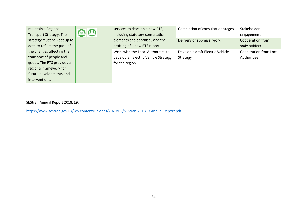| maintain a Regional            |                 | services to develop a new RTS,       | Completion of consultation stages | Stakeholder            |
|--------------------------------|-----------------|--------------------------------------|-----------------------------------|------------------------|
| <b>Transport Strategy. The</b> | $\odot$ $\odot$ | including statutory consultation     |                                   | engagement             |
| strategy must be kept up to    |                 | elements and appraisal, and the      | Delivery of appraisal work        | Cooperation from       |
| date to reflect the pace of    |                 | drafting of a new RTS report.        |                                   | stakeholders           |
| the changes affecting the      |                 | Work with the Local Authorities to   | Develop a draft Electric Vehicle  | Cooperation from Local |
| transport of people and        |                 | develop an Electric Vehicle Strategy | Strategy                          | Authorities            |
| goods. The RTS provides a      |                 | for the region.                      |                                   |                        |
| regional framework for         |                 |                                      |                                   |                        |
| future developments and        |                 |                                      |                                   |                        |
| interventions.                 |                 |                                      |                                   |                        |

SEStran Annual Report 2018/19:

<https://www.sestran.gov.uk/wp-content/uploads/2020/02/SEStran-201819-Annual-Report.pdf>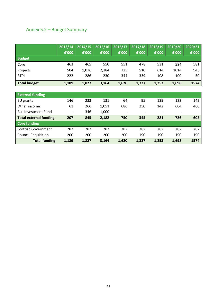# <span id="page-25-0"></span>Annex 5.2 – Budget Summary

|                     | 2013/14 | 2014/15 | 2015/16 2016/17 |       | 2017/18 | 2018/19 | $\sqrt{2019/20}$ | 2020/21 |
|---------------------|---------|---------|-----------------|-------|---------|---------|------------------|---------|
|                     | £'000   | £'000   | £'000           | £'000 | £'000   | £'000   | £'000            | £'000   |
| <b>Budget</b>       |         |         |                 |       |         |         |                  |         |
| Core                | 463     | 465     | 550             | 551   | 478     | 531     | 584              | 581     |
| Projects            | 504     | 1,076   | 2,384           | 725   | 510     | 614     | 1014             | 943     |
| <b>RTPI</b>         | 222     | 286     | 230             | 344   | 339     | 108     | 100              | 50      |
| <b>Total budget</b> | 1,189   | 1,827   | 3,164           | 1,620 | 1,327   | 1,253   | 1,698            | 1574    |

| <b>External funding</b>       |                          |       |       |                          |       |                          |                |      |
|-------------------------------|--------------------------|-------|-------|--------------------------|-------|--------------------------|----------------|------|
| EU grants                     | 146                      | 233   | 131   | 64                       | 95    | 139                      | 122            | 142  |
| Other income                  | 61                       | 266   | 1,051 | 686                      | 250   | 142                      | 604            | 460  |
| <b>Bus Investment Fund</b>    | $\overline{\phantom{a}}$ | 346   | 1,000 | $\overline{\phantom{a}}$ |       | $\overline{\phantom{a}}$ | $\blacksquare$ |      |
| <b>Total external funding</b> | 207                      | 845   | 2,182 | 750                      | 345   | 281                      | 726            | 602  |
| <b>Core funding</b>           |                          |       |       |                          |       |                          |                |      |
| Scottish Government           | 782                      | 782   | 782   | 782                      | 782   | 782                      | 782            | 782  |
| <b>Council Requisition</b>    | 200                      | 200   | 200   | 200                      | 190   | 190                      | 190            | 190  |
| <b>Total funding</b>          | 1,189                    | 1,827 | 3,164 | 1,620                    | 1,327 | 1,253                    | 1,698          | 1574 |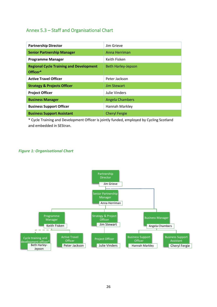## <span id="page-26-0"></span>Annex 5.3 – Staff and Organisational Chart

| <b>Partnership Director</b>                                | Jim Grieve                |
|------------------------------------------------------------|---------------------------|
| <b>Senior Partnership Manager</b>                          | Anna Herriman             |
| <b>Programme Manager</b>                                   | Keith Fisken              |
| <b>Regional Cycle Training and Development</b><br>Officer* | <b>Beth Harley-Jepson</b> |
| <b>Active Travel Officer</b>                               | Peter Jackson             |
| <b>Strategy &amp; Projects Officer</b>                     | <b>Jim Stewart</b>        |
| <b>Project Officer</b>                                     | Julie Vinders             |
| <b>Business Manager</b>                                    | <b>Angela Chambers</b>    |
| <b>Business Support Officer</b>                            | Hannah Markley            |
| <b>Business Support Assistant</b>                          | <b>Cheryl Fergie</b>      |

\* Cycle Training and Development Officer is jointly funded, employed by Cycling Scotland and embedded in SEStran.

#### *Figure 1: Organisational Chart*

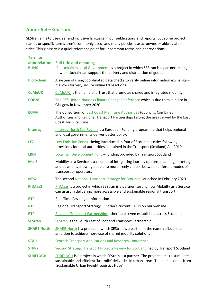## **Annex 5.4 – Glossary**

SEStran aims to use clear and inclusive language in our publications and reports, but some project names or specific terms aren't commonly used, and many policies use acronyms or abbreviated titles. This glossary is a quick reference point for uncommon terms and abbreviations.

| <b>Term or</b><br>abbreviation<br><b>BLING</b> | <b>Full title and meaning</b><br>'Blockchain in Local Government' is a project in which SEStran is a partner testing<br>how blockchain can support the delivery and distribution of goods                                |
|------------------------------------------------|--------------------------------------------------------------------------------------------------------------------------------------------------------------------------------------------------------------------------|
| <b>Blockchain</b>                              | A system of using coordinated data checks to verify online information exchange -<br>it allows for very secure online transactions                                                                                       |
| <b>CoMoUK</b>                                  | COMOUK is the name of a Trust that promotes shared and integrated mobility                                                                                                                                               |
| <b>COP26</b>                                   | The 26 <sup>th</sup> United Nations Climate Change Conference which is due to take place in<br>Glasgow in November 2020                                                                                                  |
| <b>ECMA</b>                                    | The Consortium of <b>East Coast Main Line Authorities</b> (Councils, Combined<br>Authorities and Regional Transport Partnerships) along the area served by the East<br><b>Coast Main Rail Line</b>                       |
| <b>Interreg</b>                                | Interreg North Sea Region is a European Funding programme that helps regional<br>and local governments deliver better policy.                                                                                            |
| <b>LEZ</b>                                     | Low Emission Zones - being introduced in four of Scotland's cities following<br>provisions for local authorities contained in the Transport (Scotland) Act 2019                                                          |
| <b>LRDF</b>                                    | Local Rail Development Fund - funding provided by Transport Scotland                                                                                                                                                     |
| <b>MaaS</b>                                    | Mobility as a Service is a concept of integrating journey options, planning, ticketing<br>and payment, allowing people to more freely choose between different modes of<br>transport or operators                        |
| NTS <sub>2</sub>                               | The second National Transport Strategy for Scotland, launched in February 2020                                                                                                                                           |
| <b>PriMaaS</b>                                 | PriMaas is a project in which SEStran is a partner, testing how Mobiilty as a Service<br>can assist in delivering more accessible and sustainable regional transport                                                     |
| <b>RTPI</b>                                    | Real Time Passenger Information                                                                                                                                                                                          |
| <b>RTS</b>                                     | Regional Transport Strategy. SEStran's current RTS is on our website                                                                                                                                                     |
| <b>RTP</b>                                     | Regional Transport Partnerships - there are seven established across Scotland                                                                                                                                            |
| <b>SEStran</b>                                 | SEStran is the South East of Scotland Transport Partnership                                                                                                                                                              |
| <b>SHARE-North</b>                             | $SHARE-North$ is a project in which SEStran is a partner – the name reflects the<br>ambition to achieve more use of shared mobility solutions                                                                            |
| <b>STAR</b>                                    | <b>Scottish Transport Applications and Research Conference</b>                                                                                                                                                           |
| STPR <sub>2</sub>                              | Second Strategic Transport Projects Review for Scotland, led by Transport Scotland                                                                                                                                       |
| <b>SURFLOGH</b>                                | SURFLOGH is a project in which SEStran is a partner. The project aims to stimulate<br>sustainable and efficient 'last mile' deliveries in urban areas. The name comes from<br>'Sustainable Urban Freight Logistics Hubs' |